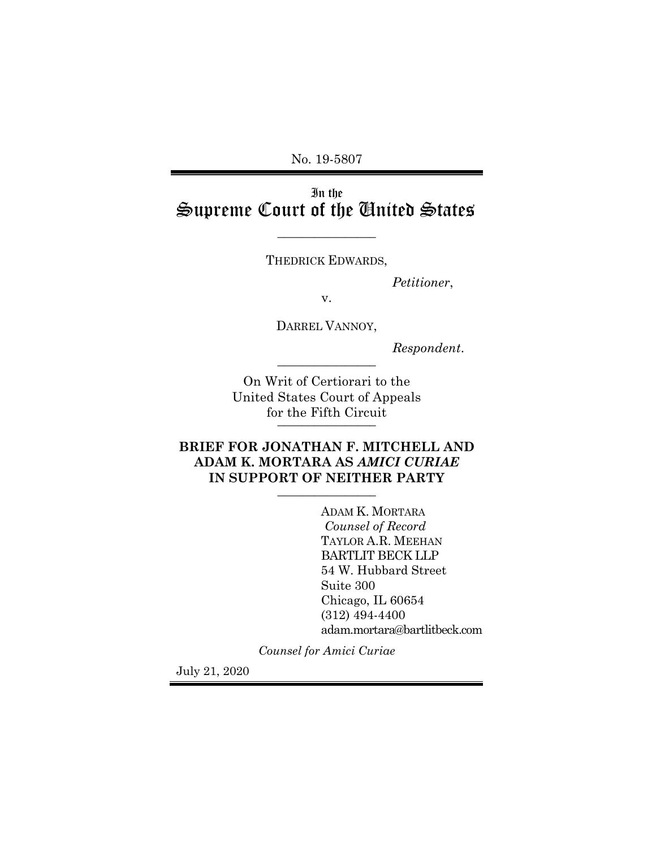No. 19-5807

# In the Supreme Court of the United States

THEDRICK EDWARDS,

 $\overline{\phantom{a}}$  , where  $\overline{\phantom{a}}$ 

*Petitioner*,

v.

DARREL VANNOY,

*Respondent*. \_\_\_\_\_\_\_\_\_\_\_\_\_\_\_\_

On Writ of Certiorari to the United States Court of Appeals for the Fifth Circuit

## **BRIEF FOR JONATHAN F. MITCHELL AND ADAM K. MORTARA AS** *AMICI CURIAE*  IN SUPPORT OF NEITHER PARTY

ADAM K. MORTARA *Counsel of Record* TAYLOR A.R. MEEHAN BARTLIT BECK LLP 54 W. Hubbard Street Suite 300 Chicago, IL 60654 (312) 494-4400 adam.mortara@bartlitbeck.com

*Counsel for Amici Curiae*

July 21, 2020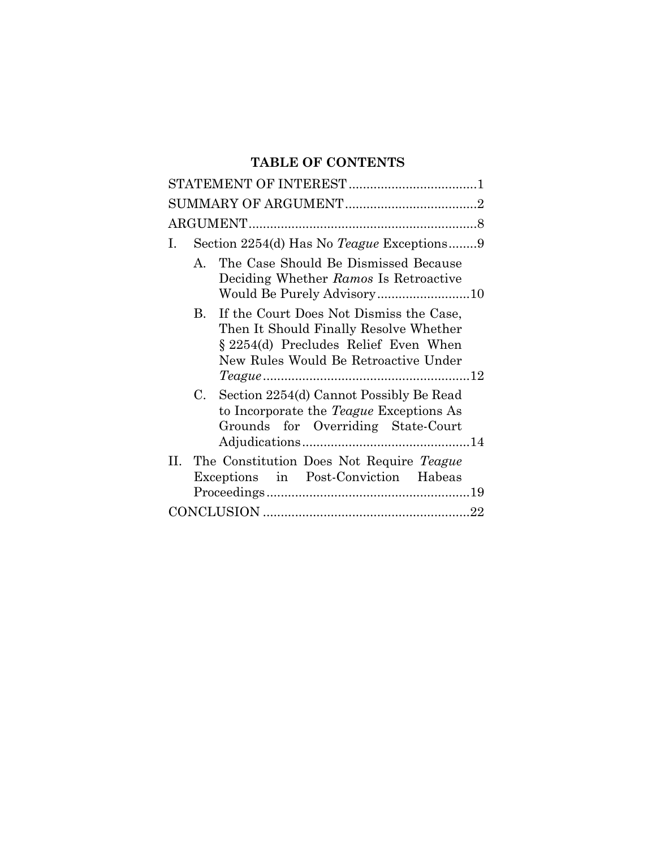# **TABLE OF CONTENTS**

| Section 2254(d) Has No <i>Teague</i> Exceptions9<br>Ι.                                                                                                                           |
|----------------------------------------------------------------------------------------------------------------------------------------------------------------------------------|
| The Case Should Be Dismissed Because<br>$\mathsf{A}$<br>Deciding Whether Ramos Is Retroactive                                                                                    |
| If the Court Does Not Dismiss the Case,<br>$B_{\cdot}$<br>Then It Should Finally Resolve Whether<br>§ 2254(d) Precludes Relief Even When<br>New Rules Would Be Retroactive Under |
| Section 2254(d) Cannot Possibly Be Read<br>C.<br>to Incorporate the <i>Teague</i> Exceptions As<br>Grounds for Overriding State-Court                                            |
| The Constitution Does Not Require Teague<br>Н. –<br>Exceptions in Post-Conviction Habeas                                                                                         |
|                                                                                                                                                                                  |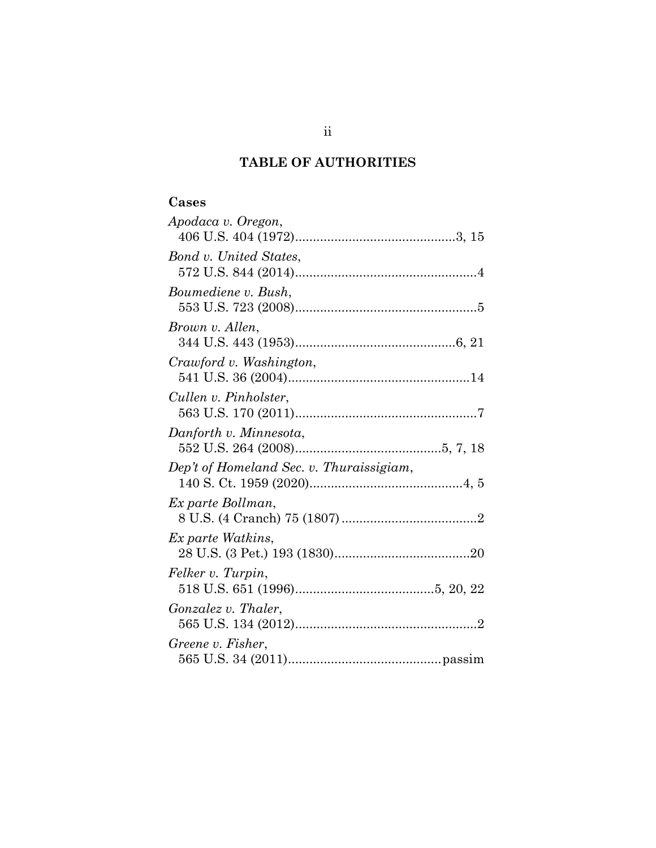# **TABLE OF AUTHORITIES**

## **Cases**

| Apodaca v. Oregon,                       |  |
|------------------------------------------|--|
|                                          |  |
| Bond v. United States,                   |  |
|                                          |  |
| Boumediene v. Bush,                      |  |
|                                          |  |
| Brown v. Allen,                          |  |
|                                          |  |
| Crawford v. Washington,                  |  |
|                                          |  |
| Cullen v. Pinholster,                    |  |
|                                          |  |
| Danforth v. Minnesota,                   |  |
|                                          |  |
| Dep't of Homeland Sec. v. Thuraissigiam, |  |
|                                          |  |
| Ex parte Bollman,                        |  |
|                                          |  |
| Ex parte Watkins,                        |  |
|                                          |  |
| Felker v. Turpin,                        |  |
|                                          |  |
| <i>Gonzalez v. Thaler,</i>               |  |
|                                          |  |
| Greene v. Fisher,                        |  |
|                                          |  |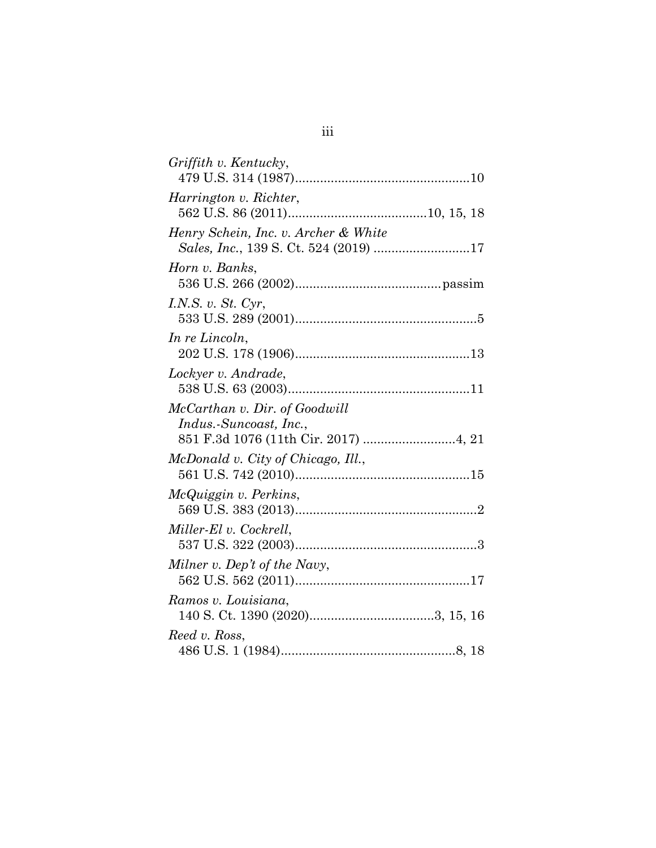| Griffith v. Kentucky,                                                         |
|-------------------------------------------------------------------------------|
| Harrington v. Richter,                                                        |
| Henry Schein, Inc. v. Archer & White<br>Sales, Inc., 139 S. Ct. 524 (2019) 17 |
| Horn v. Banks,                                                                |
| I.N.S. v. $St.$ Cyr,                                                          |
| In re Lincoln,                                                                |
| Lockyer v. Andrade,                                                           |
| McCarthan v. Dir. of Goodwill<br>Indus.-Suncoast, Inc.,                       |
| McDonald v. City of Chicago, Ill.,                                            |
| McQuiggin v. Perkins,                                                         |
| Miller-El v. Cockrell,                                                        |
| Milner v. Dep't of the Navy,                                                  |
| Ramos v. Louisiana,                                                           |
| Reed v. Ross,                                                                 |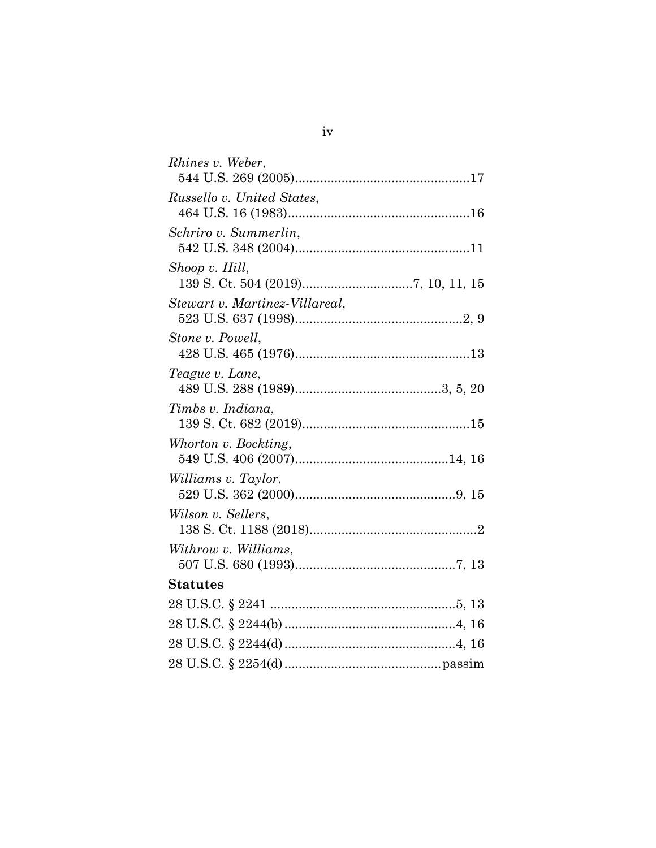| Rhines v. Weber,               |
|--------------------------------|
| Russello v. United States,     |
| Schriro v. Summerlin,          |
| Shoop v. Hill,                 |
| Stewart v. Martinez-Villareal, |
| Stone v. Powell,               |
| Teague v. Lane,                |
| Timbs v. Indiana,              |
| Whorton v. Bockting,           |
| Williams v. Taylor,            |
| Wilson v. Sellers,             |
| Withrow v. Williams,           |
| <b>Statutes</b>                |
|                                |
|                                |
|                                |
|                                |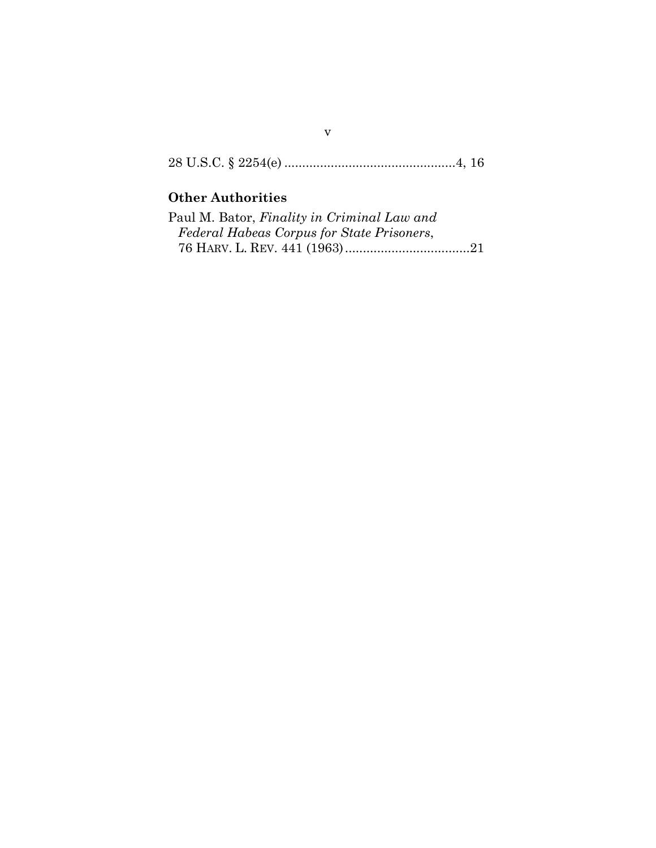28 U.S.C. § 2254(e) ................................................4, 16

# **Other Authorities**

| Paul M. Bator, Finality in Criminal Law and |  |
|---------------------------------------------|--|
| Federal Habeas Corpus for State Prisoners,  |  |
|                                             |  |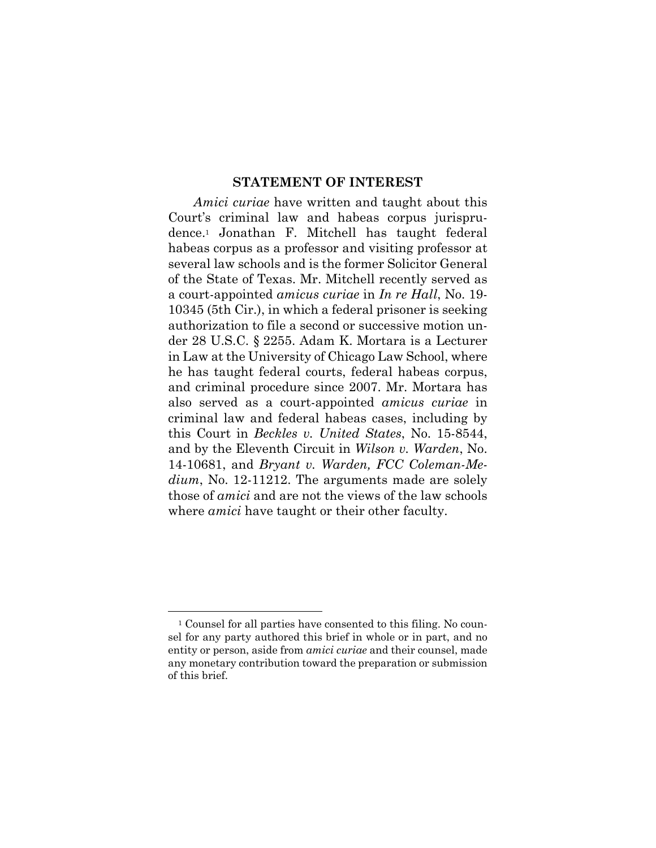#### **STATEMENT OF INTEREST**

*Amici curiae* have written and taught about this Court's criminal law and habeas corpus jurisprudence.<sup>1</sup> Jonathan F. Mitchell has taught federal habeas corpus as a professor and visiting professor at several law schools and is the former Solicitor General of the State of Texas. Mr. Mitchell recently served as a court-appointed *amicus curiae* in *In re Hall*, No. 19- 10345 (5th Cir.), in which a federal prisoner is seeking authorization to file a second or successive motion under 28 U.S.C. § 2255. Adam K. Mortara is a Lecturer in Law at the University of Chicago Law School, where he has taught federal courts, federal habeas corpus, and criminal procedure since 2007. Mr. Mortara has also served as a court-appointed *amicus curiae* in criminal law and federal habeas cases, including by this Court in *Beckles v. United States*, No. 15-8544, and by the Eleventh Circuit in *Wilson v. Warden*, No. 14-10681, and *Bryant v. Warden, FCC Coleman-Medium*, No. 12-11212. The arguments made are solely those of *amici* and are not the views of the law schools where *amici* have taught or their other faculty.

<sup>1</sup> Counsel for all parties have consented to this filing. No counsel for any party authored this brief in whole or in part, and no entity or person, aside from *amici curiae* and their counsel, made any monetary contribution toward the preparation or submission of this brief.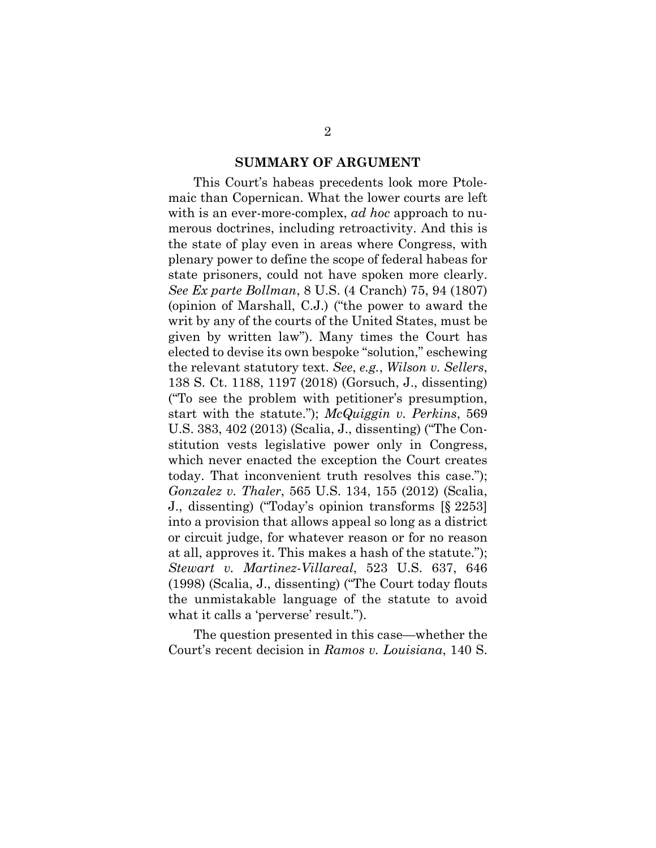#### **SUMMARY OF ARGUMENT**

This Court's habeas precedents look more Ptolemaic than Copernican. What the lower courts are left with is an ever-more-complex, *ad hoc* approach to numerous doctrines, including retroactivity. And this is the state of play even in areas where Congress, with plenary power to define the scope of federal habeas for state prisoners, could not have spoken more clearly. *See Ex parte Bollman*, 8 U.S. (4 Cranch) 75, 94 (1807) (opinion of Marshall, C.J.) ("the power to award the writ by any of the courts of the United States, must be given by written law"). Many times the Court has elected to devise its own bespoke "solution," eschewing the relevant statutory text. *See*, *e.g.*, *Wilson v. Sellers*, 138 S. Ct. 1188, 1197 (2018) (Gorsuch, J., dissenting) ("To see the problem with petitioner's presumption, start with the statute."); *McQuiggin v. Perkins*, 569 U.S. 383, 402 (2013) (Scalia, J., dissenting) ("The Constitution vests legislative power only in Congress, which never enacted the exception the Court creates today. That inconvenient truth resolves this case."); *Gonzalez v. Thaler*, 565 U.S. 134, 155 (2012) (Scalia, J., dissenting) ("Today's opinion transforms [§ 2253] into a provision that allows appeal so long as a district or circuit judge, for whatever reason or for no reason at all, approves it. This makes a hash of the statute."); *Stewart v. Martinez-Villareal*, 523 U.S. 637, 646 (1998) (Scalia, J., dissenting) ("The Court today flouts the unmistakable language of the statute to avoid what it calls a 'perverse' result.").

The question presented in this case—whether the Court's recent decision in *Ramos v. Louisiana*, 140 S.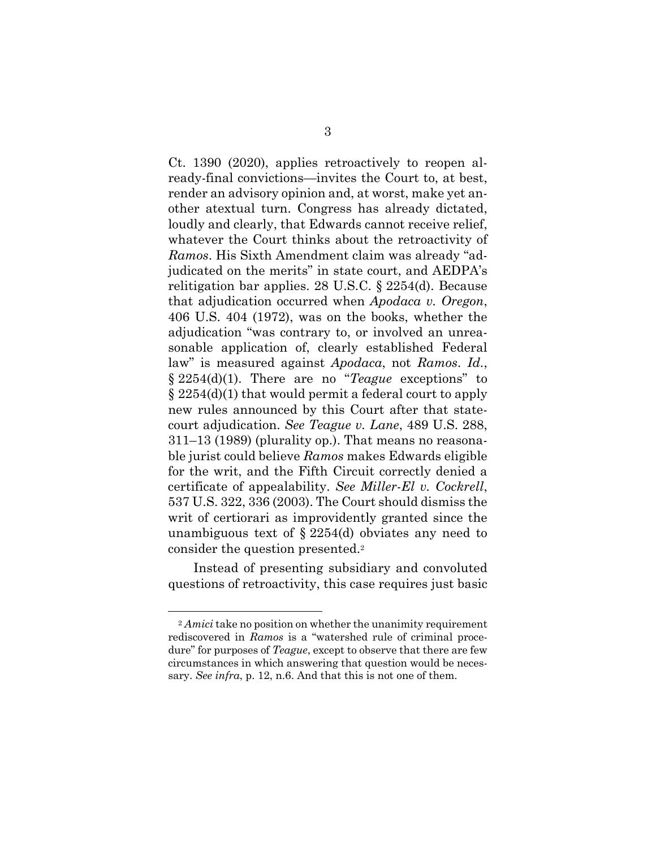Ct. 1390 (2020), applies retroactively to reopen already-final convictions—invites the Court to, at best, render an advisory opinion and, at worst, make yet another atextual turn. Congress has already dictated, loudly and clearly, that Edwards cannot receive relief, whatever the Court thinks about the retroactivity of *Ramos*. His Sixth Amendment claim was already "adjudicated on the merits" in state court, and AEDPA's relitigation bar applies. 28 U.S.C. § 2254(d). Because that adjudication occurred when *Apodaca v. Oregon*, 406 U.S. 404 (1972), was on the books, whether the adjudication "was contrary to, or involved an unreasonable application of, clearly established Federal law" is measured against *Apodaca*, not *Ramos*. *Id.*, § 2254(d)(1). There are no "*Teague* exceptions" to § 2254(d)(1) that would permit a federal court to apply new rules announced by this Court after that statecourt adjudication. *See Teague v. Lane*, 489 U.S. 288, 311–13 (1989) (plurality op.). That means no reasonable jurist could believe *Ramos* makes Edwards eligible for the writ, and the Fifth Circuit correctly denied a certificate of appealability. *See Miller-El v. Cockrell*, 537 U.S. 322, 336 (2003). The Court should dismiss the writ of certiorari as improvidently granted since the unambiguous text of  $\S 2254(d)$  obviates any need to consider the question presented.<sup>2</sup>

Instead of presenting subsidiary and convoluted questions of retroactivity, this case requires just basic

<sup>2</sup> *Amici* take no position on whether the unanimity requirement rediscovered in *Ramos* is a "watershed rule of criminal procedure" for purposes of *Teague*, except to observe that there are few circumstances in which answering that question would be necessary. *See infra*, p. 12, n.6. And that this is not one of them.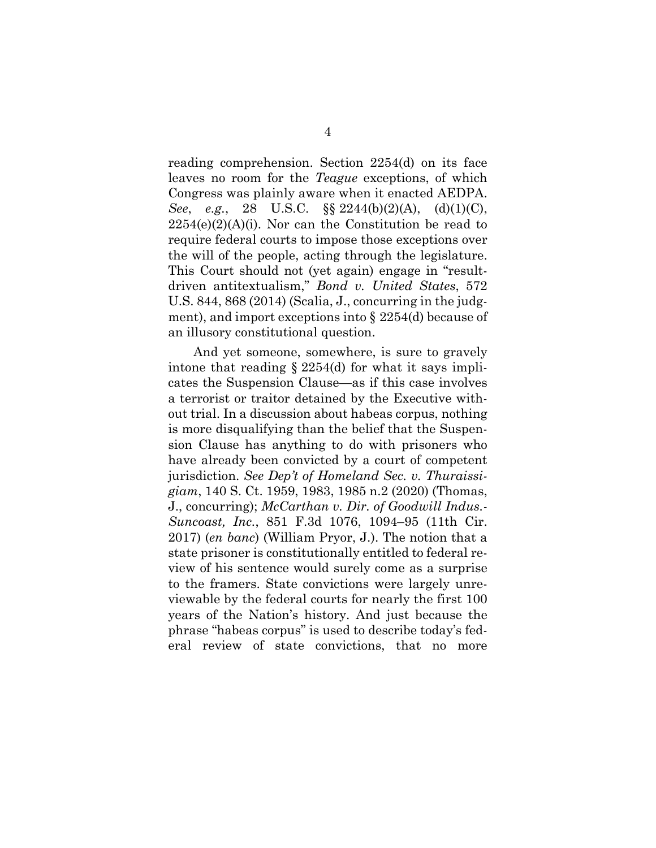reading comprehension. Section 2254(d) on its face leaves no room for the *Teague* exceptions, of which Congress was plainly aware when it enacted AEDPA. *See*, *e.g.*, 28 U.S.C. §§ 2244(b)(2)(A), (d)(1)(C),  $2254(e)(2)(A)(i)$ . Nor can the Constitution be read to require federal courts to impose those exceptions over the will of the people, acting through the legislature. This Court should not (yet again) engage in "resultdriven antitextualism," *Bond v. United States*, 572 U.S. 844, 868 (2014) (Scalia, J., concurring in the judgment), and import exceptions into § 2254(d) because of an illusory constitutional question.

And yet someone, somewhere, is sure to gravely intone that reading  $\S 2254(d)$  for what it says implicates the Suspension Clause—as if this case involves a terrorist or traitor detained by the Executive without trial. In a discussion about habeas corpus, nothing is more disqualifying than the belief that the Suspension Clause has anything to do with prisoners who have already been convicted by a court of competent jurisdiction. *See Dep't of Homeland Sec. v. Thuraissigiam*, 140 S. Ct. 1959, 1983, 1985 n.2 (2020) (Thomas, J., concurring); *McCarthan v. Dir. of Goodwill Indus.- Suncoast, Inc.*, 851 F.3d 1076, 1094–95 (11th Cir. 2017) (*en banc*) (William Pryor, J.). The notion that a state prisoner is constitutionally entitled to federal review of his sentence would surely come as a surprise to the framers. State convictions were largely unreviewable by the federal courts for nearly the first 100 years of the Nation's history. And just because the phrase "habeas corpus" is used to describe today's federal review of state convictions, that no more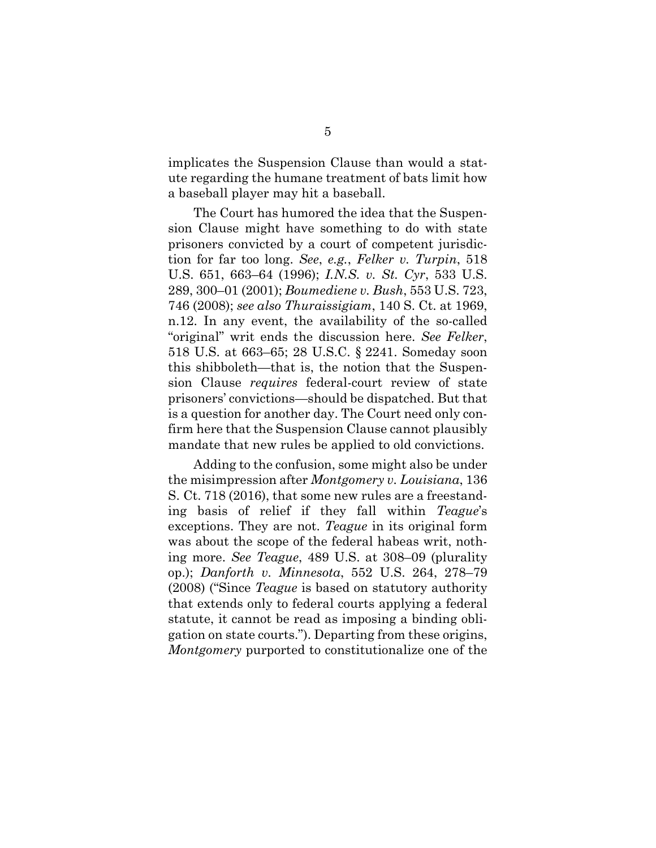implicates the Suspension Clause than would a statute regarding the humane treatment of bats limit how a baseball player may hit a baseball.

The Court has humored the idea that the Suspension Clause might have something to do with state prisoners convicted by a court of competent jurisdiction for far too long. *See*, *e.g.*, *Felker v. Turpin*, 518 U.S. 651, 663–64 (1996); *I.N.S. v. St. Cyr*, 533 U.S. 289, 300–01 (2001); *Boumediene v. Bush*, 553 U.S. 723, 746 (2008); *see also Thuraissigiam*, 140 S. Ct. at 1969, n.12. In any event, the availability of the so-called "original" writ ends the discussion here. *See Felker*, 518 U.S. at 663–65; 28 U.S.C. § 2241. Someday soon this shibboleth—that is, the notion that the Suspension Clause *requires* federal-court review of state prisoners' convictions—should be dispatched. But that is a question for another day. The Court need only confirm here that the Suspension Clause cannot plausibly mandate that new rules be applied to old convictions.

Adding to the confusion, some might also be under the misimpression after *Montgomery v. Louisiana*, 136 S. Ct. 718 (2016), that some new rules are a freestanding basis of relief if they fall within *Teague*'s exceptions. They are not. *Teague* in its original form was about the scope of the federal habeas writ, nothing more. *See Teague*, 489 U.S. at 308–09 (plurality op.); *Danforth v. Minnesota*, 552 U.S. 264, 278–79 (2008) ("Since *Teague* is based on statutory authority that extends only to federal courts applying a federal statute, it cannot be read as imposing a binding obligation on state courts."). Departing from these origins, *Montgomery* purported to constitutionalize one of the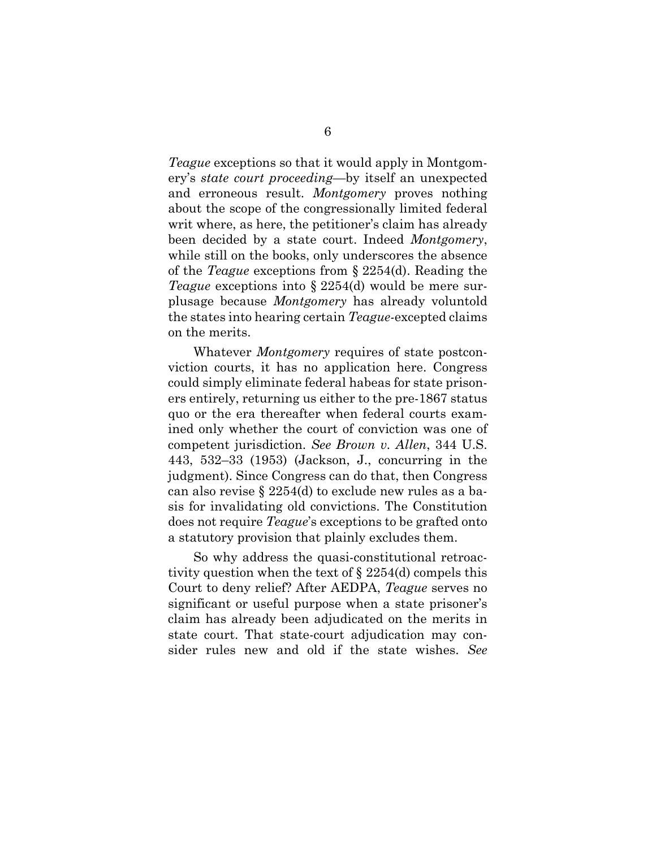*Teague* exceptions so that it would apply in Montgomery's *state court proceeding*—by itself an unexpected and erroneous result. *Montgomery* proves nothing about the scope of the congressionally limited federal writ where, as here, the petitioner's claim has already been decided by a state court. Indeed *Montgomery*, while still on the books, only underscores the absence of the *Teague* exceptions from § 2254(d). Reading the *Teague* exceptions into § 2254(d) would be mere surplusage because *Montgomery* has already voluntold the states into hearing certain *Teague-*excepted claims on the merits.

Whatever *Montgomery* requires of state postconviction courts, it has no application here. Congress could simply eliminate federal habeas for state prisoners entirely, returning us either to the pre-1867 status quo or the era thereafter when federal courts examined only whether the court of conviction was one of competent jurisdiction. *See Brown v. Allen*, 344 U.S. 443, 532–33 (1953) (Jackson, J., concurring in the judgment). Since Congress can do that, then Congress can also revise § 2254(d) to exclude new rules as a basis for invalidating old convictions. The Constitution does not require *Teague*'s exceptions to be grafted onto a statutory provision that plainly excludes them.

So why address the quasi-constitutional retroactivity question when the text of § 2254(d) compels this Court to deny relief? After AEDPA, *Teague* serves no significant or useful purpose when a state prisoner's claim has already been adjudicated on the merits in state court. That state-court adjudication may consider rules new and old if the state wishes. *See*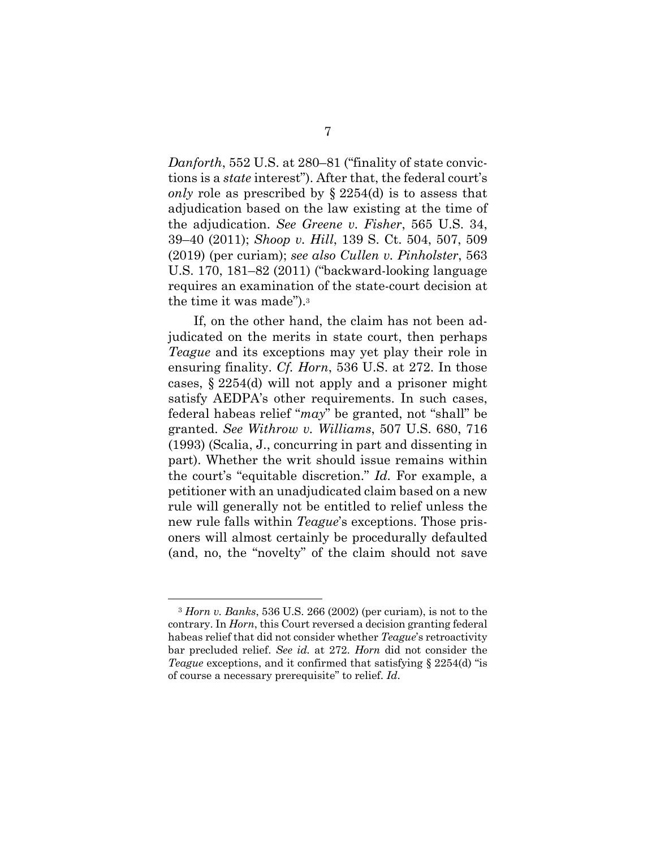*Danforth*, 552 U.S. at 280–81 ("finality of state convictions is a *state* interest"). After that, the federal court's *only* role as prescribed by § 2254(d) is to assess that adjudication based on the law existing at the time of the adjudication. *See Greene v. Fisher*, 565 U.S. 34, 39–40 (2011); *Shoop v. Hill*, 139 S. Ct. 504, 507, 509 (2019) (per curiam); *see also Cullen v. Pinholster*, 563 U.S. 170, 181–82 (2011) ("backward-looking language requires an examination of the state-court decision at the time it was made").<sup>3</sup>

If, on the other hand, the claim has not been adjudicated on the merits in state court, then perhaps *Teague* and its exceptions may yet play their role in ensuring finality. *Cf. Horn*, 536 U.S. at 272. In those cases, § 2254(d) will not apply and a prisoner might satisfy AEDPA's other requirements. In such cases, federal habeas relief "*may*" be granted, not "shall" be granted. *See Withrow v. Williams*, 507 U.S. 680, 716 (1993) (Scalia, J., concurring in part and dissenting in part). Whether the writ should issue remains within the court's "equitable discretion." *Id.* For example, a petitioner with an unadjudicated claim based on a new rule will generally not be entitled to relief unless the new rule falls within *Teague*'s exceptions. Those prisoners will almost certainly be procedurally defaulted (and, no, the "novelty" of the claim should not save

<sup>3</sup> *Horn v. Banks*, 536 U.S. 266 (2002) (per curiam), is not to the contrary. In *Horn*, this Court reversed a decision granting federal habeas relief that did not consider whether *Teague*'s retroactivity bar precluded relief. *See id.* at 272. *Horn* did not consider the *Teague* exceptions, and it confirmed that satisfying § 2254(d) "is of course a necessary prerequisite" to relief. *Id*.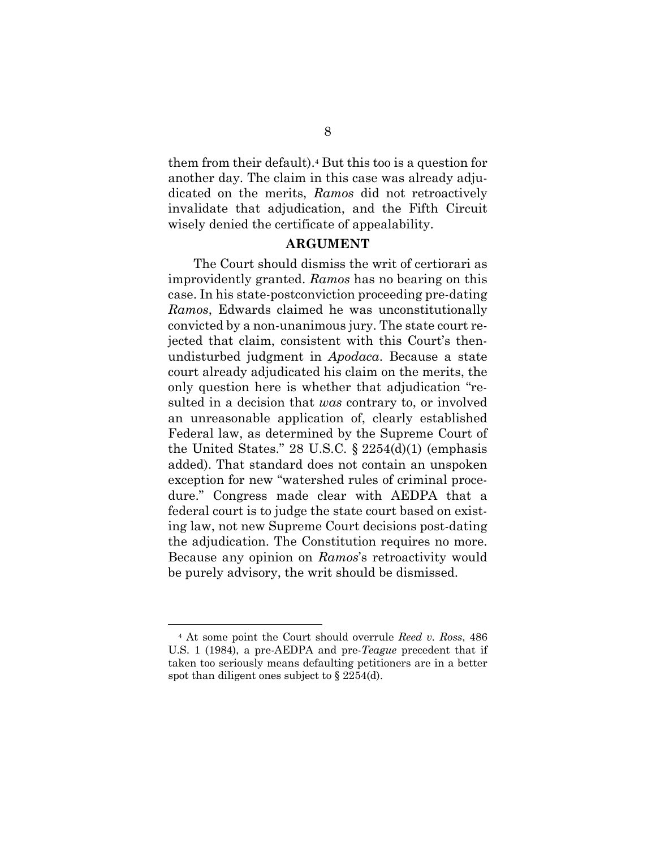them from their default).<sup>4</sup> But this too is a question for another day. The claim in this case was already adjudicated on the merits, *Ramos* did not retroactively invalidate that adjudication, and the Fifth Circuit wisely denied the certificate of appealability.

#### **ARGUMENT**

The Court should dismiss the writ of certiorari as improvidently granted. *Ramos* has no bearing on this case. In his state-postconviction proceeding pre-dating *Ramos*, Edwards claimed he was unconstitutionally convicted by a non-unanimous jury. The state court rejected that claim, consistent with this Court's thenundisturbed judgment in *Apodaca*. Because a state court already adjudicated his claim on the merits, the only question here is whether that adjudication "resulted in a decision that *was* contrary to, or involved an unreasonable application of, clearly established Federal law, as determined by the Supreme Court of the United States." 28 U.S.C.  $\S$  2254(d)(1) (emphasis added). That standard does not contain an unspoken exception for new "watershed rules of criminal procedure." Congress made clear with AEDPA that a federal court is to judge the state court based on existing law, not new Supreme Court decisions post-dating the adjudication. The Constitution requires no more. Because any opinion on *Ramos*'s retroactivity would be purely advisory, the writ should be dismissed.

<sup>4</sup> At some point the Court should overrule *Reed v. Ross*, 486 U.S. 1 (1984), a pre-AEDPA and pre-*Teague* precedent that if taken too seriously means defaulting petitioners are in a better spot than diligent ones subject to § 2254(d).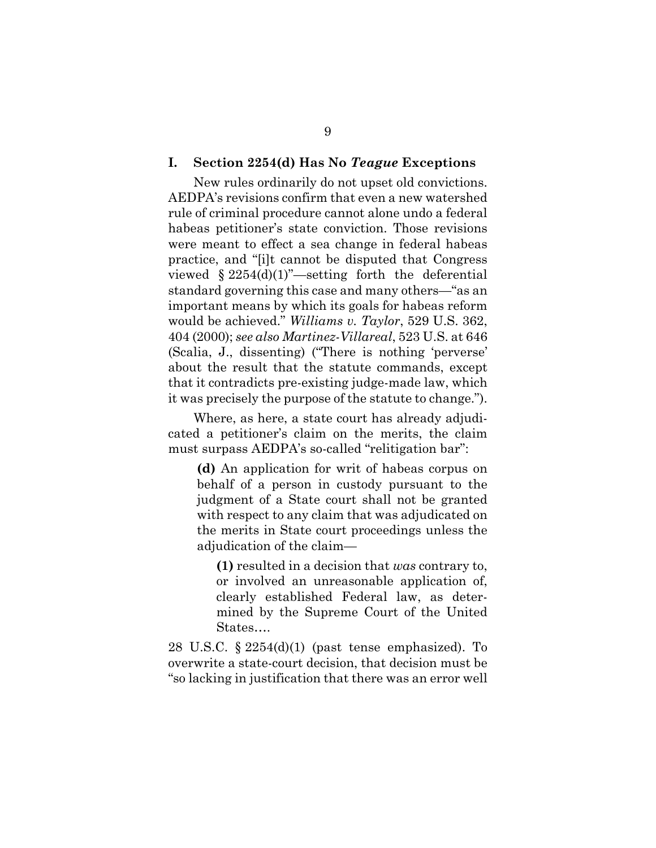#### **I. Section 2254(d) Has No** *Teague* **Exceptions**

New rules ordinarily do not upset old convictions. AEDPA's revisions confirm that even a new watershed rule of criminal procedure cannot alone undo a federal habeas petitioner's state conviction. Those revisions were meant to effect a sea change in federal habeas practice, and "[i]t cannot be disputed that Congress viewed  $\S 2254(d)(1)$  –setting forth the deferential standard governing this case and many others—"as an important means by which its goals for habeas reform would be achieved." *Williams v. Taylor*, 529 U.S. 362, 404 (2000); *see also Martinez-Villareal*, 523 U.S. at 646 (Scalia, J., dissenting) ("There is nothing 'perverse' about the result that the statute commands, except that it contradicts pre-existing judge-made law, which it was precisely the purpose of the statute to change.").

Where, as here, a state court has already adjudicated a petitioner's claim on the merits, the claim must surpass AEDPA's so-called "relitigation bar":

**(d)** An application for writ of habeas corpus on behalf of a person in custody pursuant to the judgment of a State court shall not be granted with respect to any claim that was adjudicated on the merits in State court proceedings unless the adjudication of the claim—

**(1)** resulted in a decision that *was* contrary to, or involved an unreasonable application of, clearly established Federal law, as determined by the Supreme Court of the United States….

28 U.S.C. § 2254(d)(1) (past tense emphasized). To overwrite a state-court decision, that decision must be "so lacking in justification that there was an error well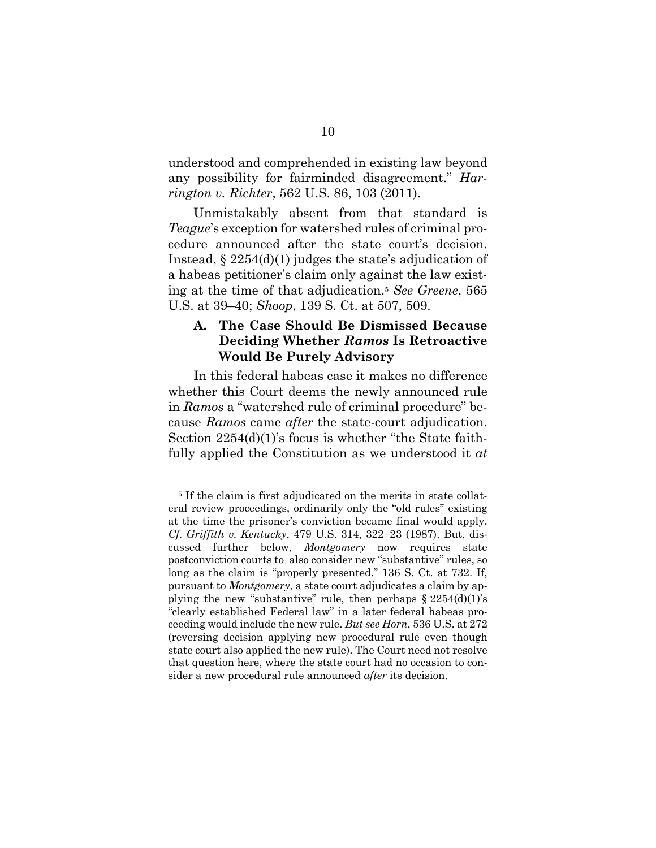understood and comprehended in existing law beyond any possibility for fairminded disagreement." *Harrington v. Richter*, 562 U.S. 86, 103 (2011).

Unmistakably absent from that standard is *Teague*'s exception for watershed rules of criminal procedure announced after the state court's decision. Instead, § 2254(d)(1) judges the state's adjudication of a habeas petitioner's claim only against the law existing at the time of that adjudication.<sup>5</sup> *See Greene*, 565 U.S. at 39–40; *Shoop*, 139 S. Ct. at 507, 509.

### **A. The Case Should Be Dismissed Because Deciding Whether** *Ramos* **Is Retroactive Would Be Purely Advisory**

In this federal habeas case it makes no difference whether this Court deems the newly announced rule in *Ramos* a "watershed rule of criminal procedure" because *Ramos* came *after* the state-court adjudication. Section 2254(d)(1)'s focus is whether "the State faithfully applied the Constitution as we understood it *at* 

<sup>5</sup> If the claim is first adjudicated on the merits in state collateral review proceedings, ordinarily only the "old rules" existing at the time the prisoner's conviction became final would apply. *Cf. Griffith v. Kentucky*, 479 U.S. 314, 322–23 (1987). But, discussed further below, *Montgomery* now requires state postconviction courts to also consider new "substantive" rules, so long as the claim is "properly presented." 136 S. Ct. at 732. If, pursuant to *Montgomery*, a state court adjudicates a claim by applying the new "substantive" rule, then perhaps  $\S 2254(d)(1)$ 's "clearly established Federal law" in a later federal habeas proceeding would include the new rule. *But see Horn*, 536 U.S. at 272 (reversing decision applying new procedural rule even though state court also applied the new rule). The Court need not resolve that question here, where the state court had no occasion to consider a new procedural rule announced *after* its decision.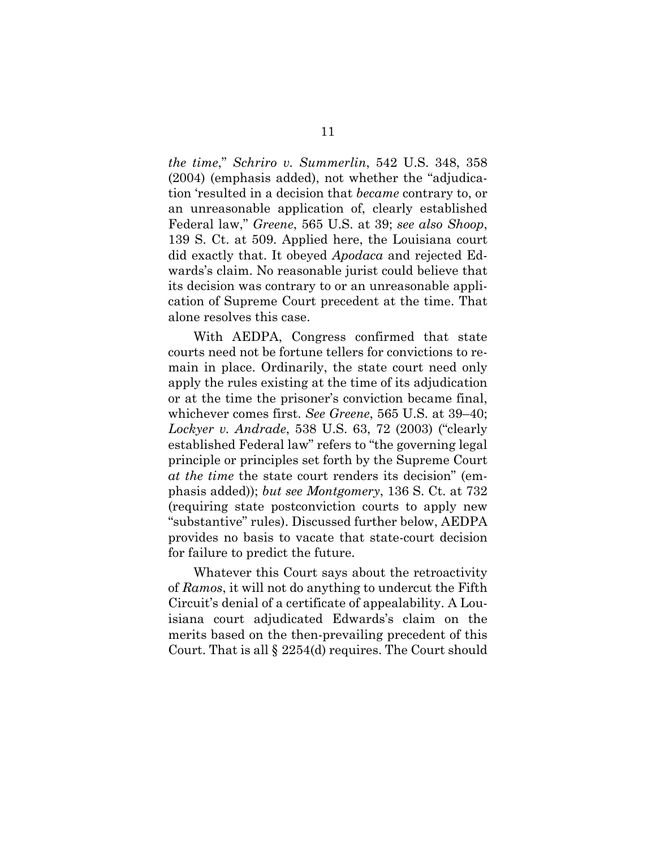*the time*," *Schriro v. Summerlin*, 542 U.S. 348, 358 (2004) (emphasis added), not whether the "adjudication 'resulted in a decision that *became* contrary to, or an unreasonable application of, clearly established Federal law," *Greene*, 565 U.S. at 39; *see also Shoop*, 139 S. Ct. at 509. Applied here, the Louisiana court did exactly that. It obeyed *Apodaca* and rejected Edwards's claim. No reasonable jurist could believe that its decision was contrary to or an unreasonable application of Supreme Court precedent at the time. That alone resolves this case.

With AEDPA, Congress confirmed that state courts need not be fortune tellers for convictions to remain in place. Ordinarily, the state court need only apply the rules existing at the time of its adjudication or at the time the prisoner's conviction became final, whichever comes first. *See Greene*, 565 U.S. at 39–40; *Lockyer v. Andrade*, 538 U.S. 63, 72 (2003) ("clearly established Federal law" refers to "the governing legal principle or principles set forth by the Supreme Court *at the time* the state court renders its decision" (emphasis added)); *but see Montgomery*, 136 S. Ct. at 732 (requiring state postconviction courts to apply new "substantive" rules). Discussed further below, AEDPA provides no basis to vacate that state-court decision for failure to predict the future.

Whatever this Court says about the retroactivity of *Ramos*, it will not do anything to undercut the Fifth Circuit's denial of a certificate of appealability. A Louisiana court adjudicated Edwards's claim on the merits based on the then-prevailing precedent of this Court. That is all § 2254(d) requires. The Court should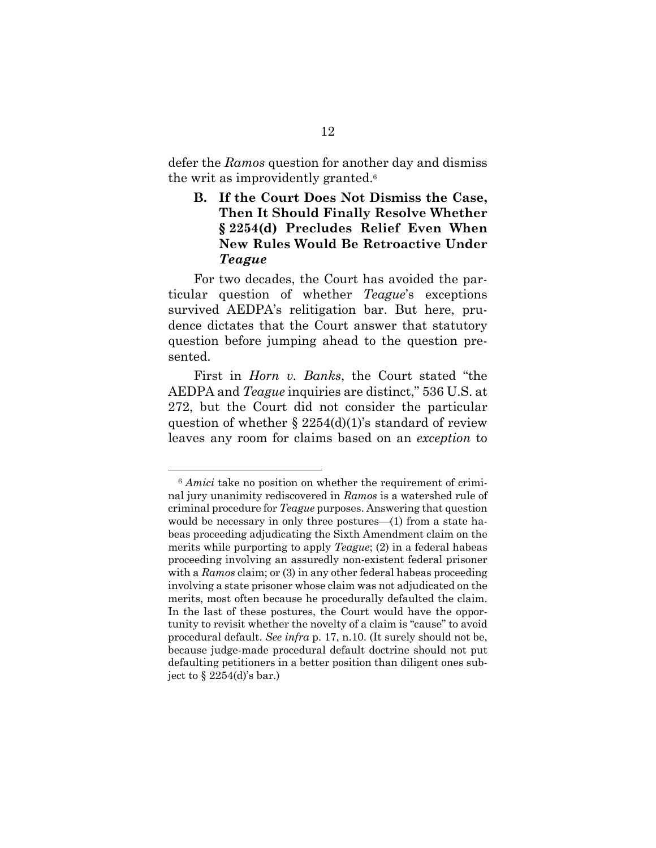defer the *Ramos* question for another day and dismiss the writ as improvidently granted.<sup>6</sup>

### **B. If the Court Does Not Dismiss the Case, Then It Should Finally Resolve Whether § 2254(d) Precludes Relief Even When New Rules Would Be Retroactive Under**  *Teague*

For two decades, the Court has avoided the particular question of whether *Teague*'s exceptions survived AEDPA's relitigation bar. But here, prudence dictates that the Court answer that statutory question before jumping ahead to the question presented.

First in *Horn v. Banks*, the Court stated "the AEDPA and *Teague* inquiries are distinct," 536 U.S. at 272, but the Court did not consider the particular question of whether  $\S 2254(d)(1)$ 's standard of review leaves any room for claims based on an *exception* to

<sup>&</sup>lt;sup>6</sup> *Amici* take no position on whether the requirement of criminal jury unanimity rediscovered in *Ramos* is a watershed rule of criminal procedure for *Teague* purposes. Answering that question would be necessary in only three postures—(1) from a state habeas proceeding adjudicating the Sixth Amendment claim on the merits while purporting to apply *Teague*; (2) in a federal habeas proceeding involving an assuredly non-existent federal prisoner with a *Ramos* claim; or (3) in any other federal habeas proceeding involving a state prisoner whose claim was not adjudicated on the merits, most often because he procedurally defaulted the claim. In the last of these postures, the Court would have the opportunity to revisit whether the novelty of a claim is "cause" to avoid procedural default. *See infra* p. 17, n.10. (It surely should not be, because judge-made procedural default doctrine should not put defaulting petitioners in a better position than diligent ones subject to  $\S$  2254(d)'s bar.)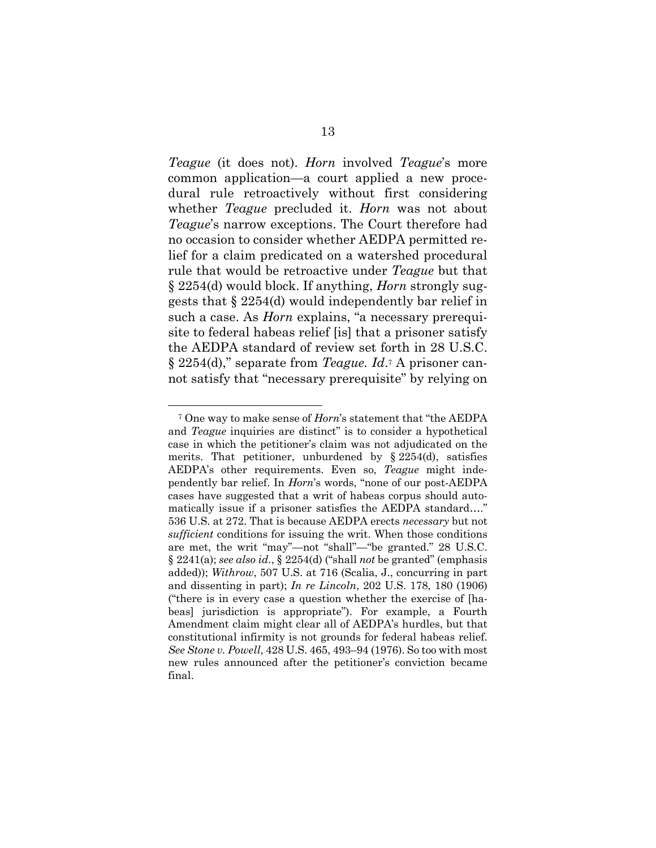*Teague* (it does not). *Horn* involved *Teague*'s more common application—a court applied a new procedural rule retroactively without first considering whether *Teague* precluded it. *Horn* was not about *Teague*'s narrow exceptions. The Court therefore had no occasion to consider whether AEDPA permitted relief for a claim predicated on a watershed procedural rule that would be retroactive under *Teague* but that § 2254(d) would block. If anything, *Horn* strongly suggests that § 2254(d) would independently bar relief in such a case. As *Horn* explains, "a necessary prerequisite to federal habeas relief [is] that a prisoner satisfy the AEDPA standard of review set forth in 28 U.S.C. § 2254(d)," separate from *Teague. Id*.<sup>7</sup> A prisoner cannot satisfy that "necessary prerequisite" by relying on

<sup>7</sup> One way to make sense of *Horn*'s statement that "the AEDPA and *Teague* inquiries are distinct" is to consider a hypothetical case in which the petitioner's claim was not adjudicated on the merits. That petitioner, unburdened by  $\S 2254(d)$ , satisfies AEDPA's other requirements. Even so, *Teague* might independently bar relief. In *Horn*'s words, "none of our post-AEDPA cases have suggested that a writ of habeas corpus should automatically issue if a prisoner satisfies the AEDPA standard…." 536 U.S. at 272. That is because AEDPA erects *necessary* but not *sufficient* conditions for issuing the writ. When those conditions are met, the writ "may"—not "shall"—"be granted." 28 U.S.C. § 2241(a); *see also id.*, § 2254(d) ("shall *not* be granted" (emphasis added)); *Withrow*, 507 U.S. at 716 (Scalia, J., concurring in part and dissenting in part); *In re Lincoln*, 202 U.S. 178, 180 (1906) ("there is in every case a question whether the exercise of [habeas] jurisdiction is appropriate"). For example, a Fourth Amendment claim might clear all of AEDPA's hurdles, but that constitutional infirmity is not grounds for federal habeas relief. *See Stone v. Powell*, 428 U.S. 465, 493–94 (1976). So too with most new rules announced after the petitioner's conviction became final.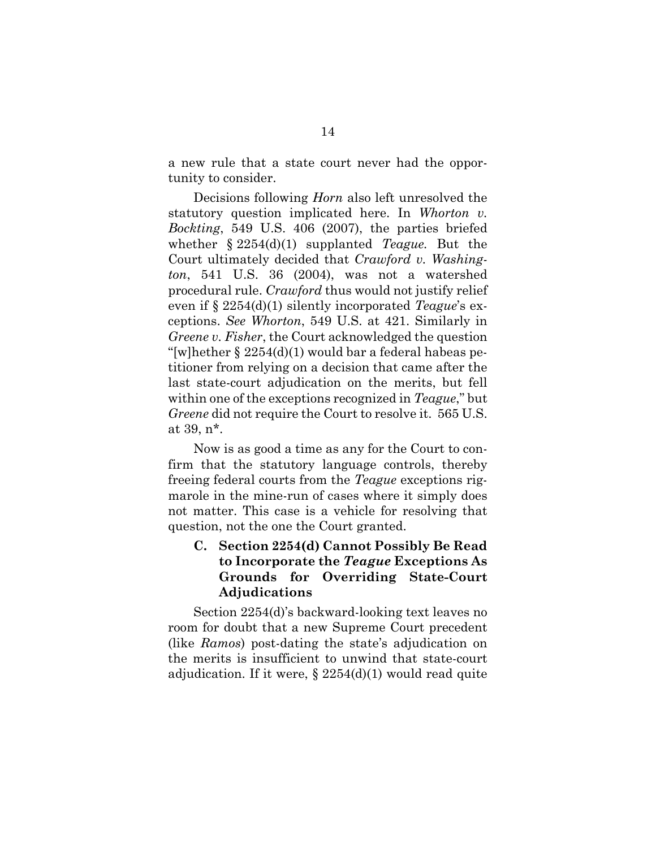a new rule that a state court never had the opportunity to consider.

Decisions following *Horn* also left unresolved the statutory question implicated here. In *Whorton v. Bockting*, 549 U.S. 406 (2007), the parties briefed whether § 2254(d)(1) supplanted *Teague.* But the Court ultimately decided that *Crawford v. Washington*, 541 U.S. 36 (2004), was not a watershed procedural rule. *Crawford* thus would not justify relief even if § 2254(d)(1) silently incorporated *Teague*'s exceptions. *See Whorton*, 549 U.S. at 421. Similarly in *Greene v. Fisher*, the Court acknowledged the question "[w]hether  $\S 2254(d)(1)$  would bar a federal habeas petitioner from relying on a decision that came after the last state-court adjudication on the merits, but fell within one of the exceptions recognized in *Teague*," but *Greene* did not require the Court to resolve it. 565 U.S. at 39, n\*.

Now is as good a time as any for the Court to confirm that the statutory language controls, thereby freeing federal courts from the *Teague* exceptions rigmarole in the mine-run of cases where it simply does not matter. This case is a vehicle for resolving that question, not the one the Court granted.

### **C. Section 2254(d) Cannot Possibly Be Read to Incorporate the** *Teague* **Exceptions As Grounds for Overriding State-Court Adjudications**

Section 2254(d)'s backward-looking text leaves no room for doubt that a new Supreme Court precedent (like *Ramos*) post-dating the state's adjudication on the merits is insufficient to unwind that state-court adjudication. If it were,  $\S 2254(d)(1)$  would read quite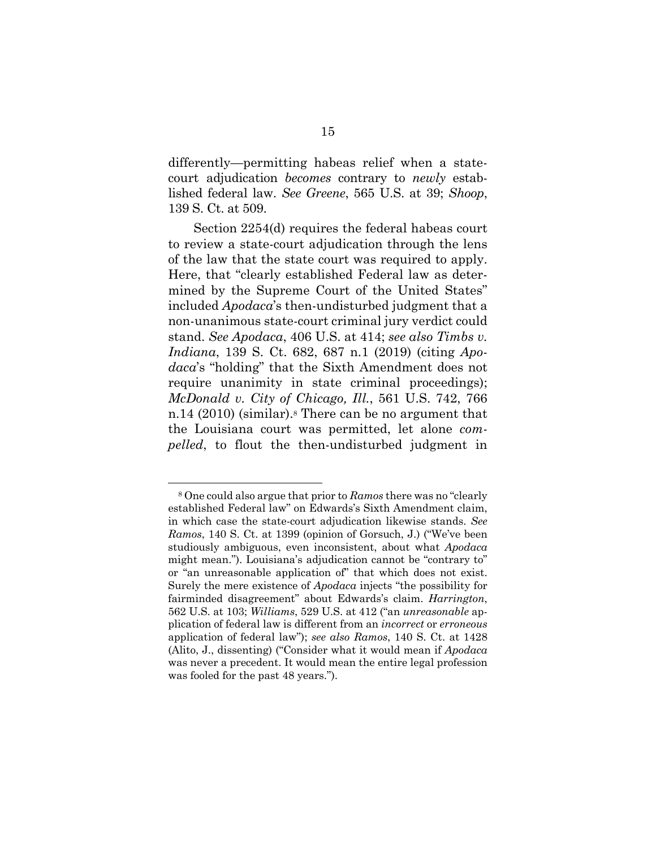differently—permitting habeas relief when a statecourt adjudication *becomes* contrary to *newly* established federal law. *See Greene*, 565 U.S. at 39; *Shoop*, 139 S. Ct. at 509.

Section 2254(d) requires the federal habeas court to review a state-court adjudication through the lens of the law that the state court was required to apply. Here, that "clearly established Federal law as determined by the Supreme Court of the United States" included *Apodaca*'s then-undisturbed judgment that a non-unanimous state-court criminal jury verdict could stand. *See Apodaca*, 406 U.S. at 414; *see also Timbs v. Indiana*, 139 S. Ct. 682, 687 n.1 (2019) (citing *Apodaca*'s "holding" that the Sixth Amendment does not require unanimity in state criminal proceedings); *McDonald v. City of Chicago, Ill.*, 561 U.S. 742, 766 n.14 (2010) (similar).<sup>8</sup> There can be no argument that the Louisiana court was permitted, let alone *compelled*, to flout the then-undisturbed judgment in

<sup>8</sup> One could also argue that prior to *Ramos* there was no "clearly established Federal law" on Edwards's Sixth Amendment claim, in which case the state-court adjudication likewise stands. *See Ramos*, 140 S. Ct. at 1399 (opinion of Gorsuch, J.) ("We've been studiously ambiguous, even inconsistent, about what *Apodaca*  might mean."). Louisiana's adjudication cannot be "contrary to" or "an unreasonable application of" that which does not exist. Surely the mere existence of *Apodaca* injects "the possibility for fairminded disagreement" about Edwards's claim. *Harrington*, 562 U.S. at 103; *Williams*, 529 U.S. at 412 ("an *unreasonable* application of federal law is different from an *incorrect* or *erroneous*  application of federal law"); *see also Ramos*, 140 S. Ct. at 1428 (Alito, J., dissenting) ("Consider what it would mean if *Apodaca*  was never a precedent. It would mean the entire legal profession was fooled for the past 48 years.").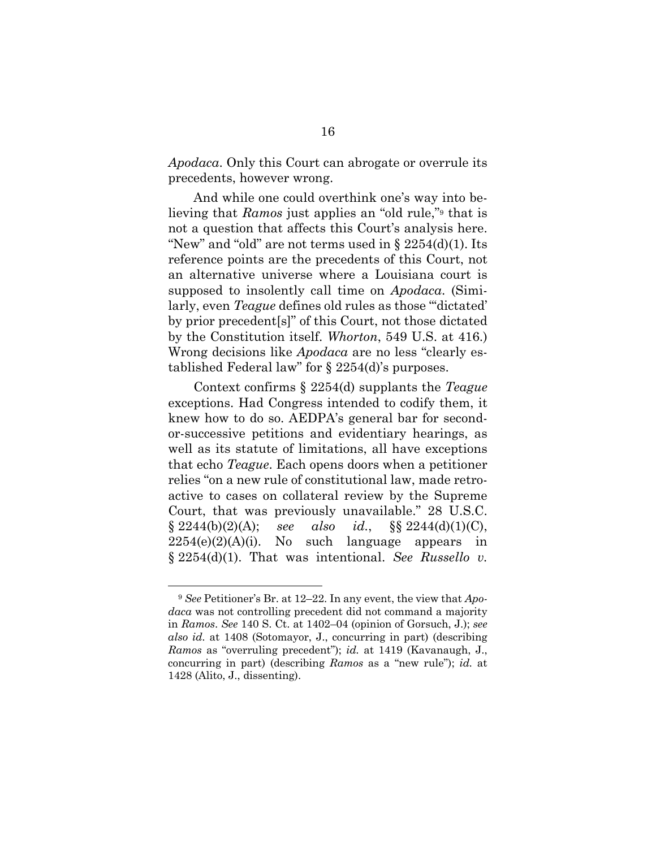*Apodaca*. Only this Court can abrogate or overrule its precedents, however wrong.

And while one could overthink one's way into believing that *Ramos* just applies an "old rule,"<sup>9</sup> that is not a question that affects this Court's analysis here. "New" and "old" are not terms used in  $\S 2254(d)(1)$ . Its reference points are the precedents of this Court, not an alternative universe where a Louisiana court is supposed to insolently call time on *Apodaca*. (Similarly, even *Teague* defines old rules as those "'dictated' by prior precedent[s]" of this Court, not those dictated by the Constitution itself. *Whorton*, 549 U.S. at 416.) Wrong decisions like *Apodaca* are no less "clearly established Federal law" for § 2254(d)'s purposes.

Context confirms § 2254(d) supplants the *Teague*  exceptions. Had Congress intended to codify them, it knew how to do so. AEDPA's general bar for secondor-successive petitions and evidentiary hearings, as well as its statute of limitations, all have exceptions that echo *Teague*. Each opens doors when a petitioner relies "on a new rule of constitutional law, made retroactive to cases on collateral review by the Supreme Court, that was previously unavailable." 28 U.S.C.  $§ 2244(b)(2)(A);$  *see also id.*,  $§ 8244(d)(1)(C),$  $2254(e)(2)(A)(i)$ . No such language appears in § 2254(d)(1). That was intentional. *See Russello v.* 

<sup>9</sup> *See* Petitioner's Br. at 12–22. In any event, the view that *Apodaca* was not controlling precedent did not command a majority in *Ramos*. *See* 140 S. Ct. at 1402–04 (opinion of Gorsuch, J.); *see also id.* at 1408 (Sotomayor, J., concurring in part) (describing *Ramos* as "overruling precedent"); *id.* at 1419 (Kavanaugh, J., concurring in part) (describing *Ramos* as a "new rule"); *id.* at 1428 (Alito, J., dissenting).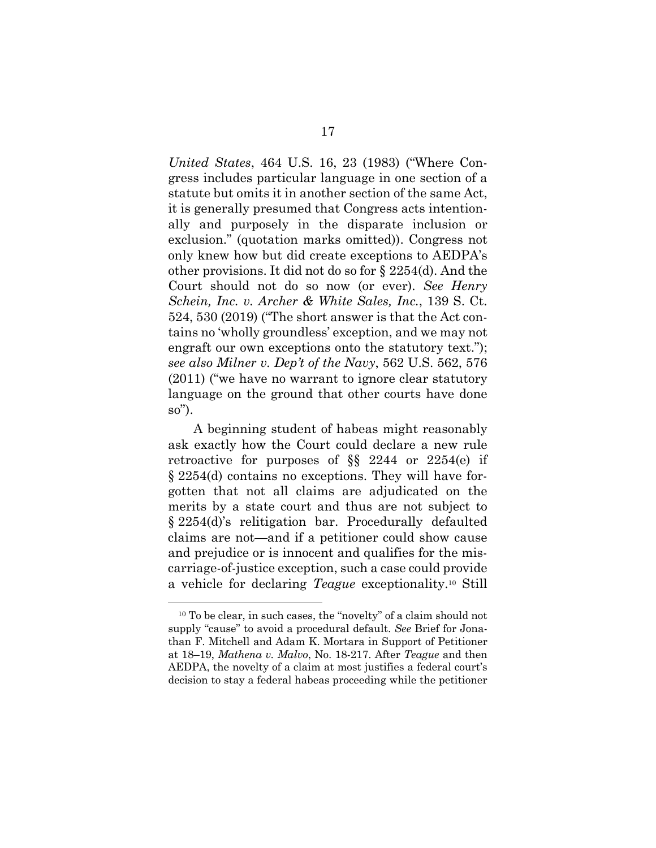*United States*, 464 U.S. 16, 23 (1983) ("Where Congress includes particular language in one section of a statute but omits it in another section of the same Act, it is generally presumed that Congress acts intentionally and purposely in the disparate inclusion or exclusion." (quotation marks omitted)). Congress not only knew how but did create exceptions to AEDPA's other provisions. It did not do so for § 2254(d). And the Court should not do so now (or ever). *See Henry Schein, Inc. v. Archer & White Sales, Inc.*, 139 S. Ct. 524, 530 (2019) ("The short answer is that the Act contains no 'wholly groundless' exception, and we may not engraft our own exceptions onto the statutory text."); *see also Milner v. Dep't of the Navy*, 562 U.S. 562, 576 (2011) ("we have no warrant to ignore clear statutory language on the ground that other courts have done so").

A beginning student of habeas might reasonably ask exactly how the Court could declare a new rule retroactive for purposes of §§ 2244 or 2254(e) if § 2254(d) contains no exceptions. They will have forgotten that not all claims are adjudicated on the merits by a state court and thus are not subject to § 2254(d)'s relitigation bar. Procedurally defaulted claims are not—and if a petitioner could show cause and prejudice or is innocent and qualifies for the miscarriage-of-justice exception, such a case could provide a vehicle for declaring *Teague* exceptionality.<sup>10</sup> Still

<sup>10</sup> To be clear, in such cases, the "novelty" of a claim should not supply "cause" to avoid a procedural default. *See* Brief for Jonathan F. Mitchell and Adam K. Mortara in Support of Petitioner at 18–19, *Mathena v. Malvo*, No. 18-217. After *Teague* and then AEDPA, the novelty of a claim at most justifies a federal court's decision to stay a federal habeas proceeding while the petitioner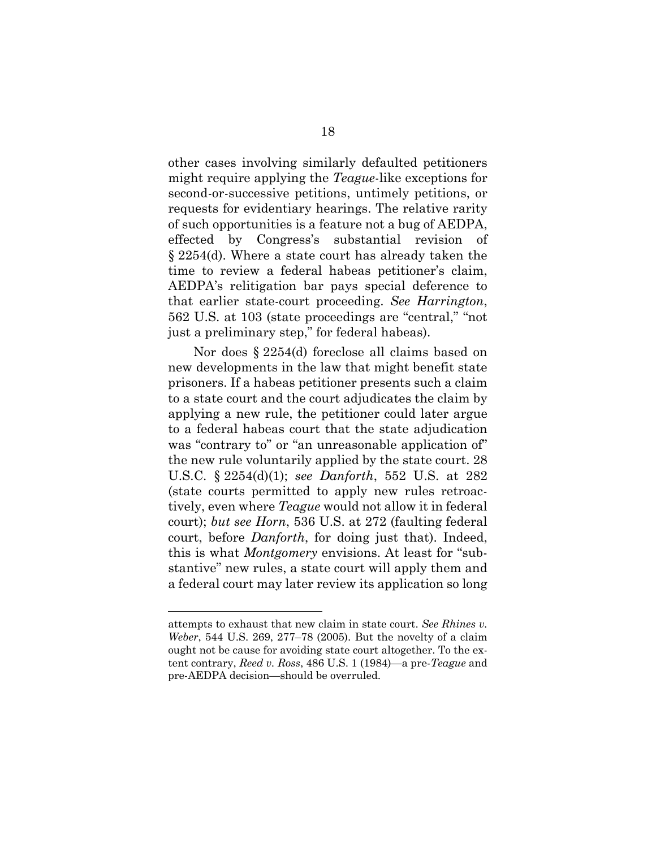other cases involving similarly defaulted petitioners might require applying the *Teague*-like exceptions for second-or-successive petitions, untimely petitions, or requests for evidentiary hearings. The relative rarity of such opportunities is a feature not a bug of AEDPA, effected by Congress's substantial revision of § 2254(d). Where a state court has already taken the time to review a federal habeas petitioner's claim, AEDPA's relitigation bar pays special deference to that earlier state-court proceeding. *See Harrington*, 562 U.S. at 103 (state proceedings are "central," "not just a preliminary step," for federal habeas).

Nor does § 2254(d) foreclose all claims based on new developments in the law that might benefit state prisoners. If a habeas petitioner presents such a claim to a state court and the court adjudicates the claim by applying a new rule, the petitioner could later argue to a federal habeas court that the state adjudication was "contrary to" or "an unreasonable application of" the new rule voluntarily applied by the state court. 28 U.S.C. § 2254(d)(1); *see Danforth*, 552 U.S. at 282 (state courts permitted to apply new rules retroactively, even where *Teague* would not allow it in federal court); *but see Horn*, 536 U.S. at 272 (faulting federal court, before *Danforth*, for doing just that). Indeed, this is what *Montgomery* envisions. At least for "substantive" new rules, a state court will apply them and a federal court may later review its application so long

attempts to exhaust that new claim in state court. *See Rhines v. Weber*, 544 U.S. 269, 277–78 (2005). But the novelty of a claim ought not be cause for avoiding state court altogether. To the extent contrary, *Reed v. Ross*, 486 U.S. 1 (1984)—a pre-*Teague* and pre-AEDPA decision—should be overruled.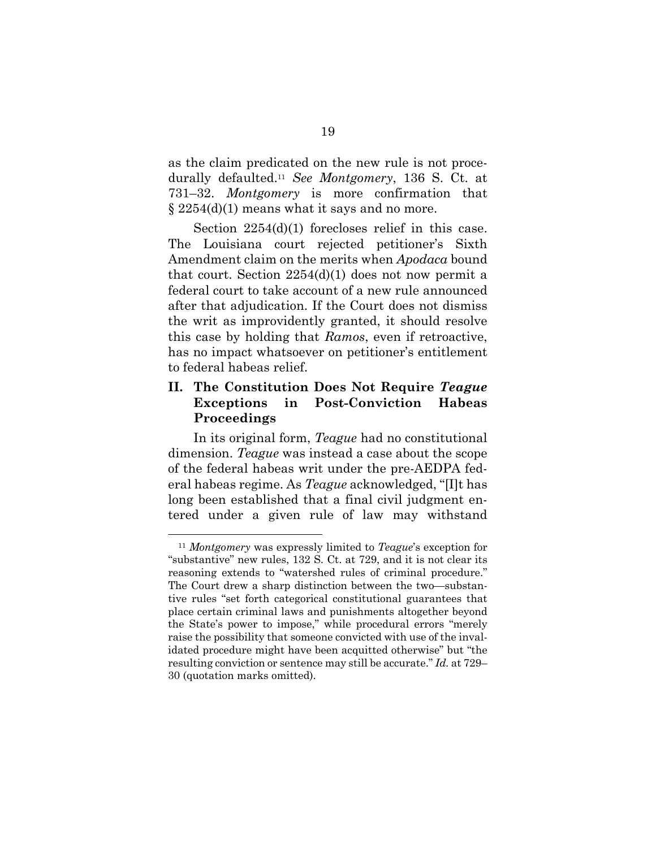as the claim predicated on the new rule is not procedurally defaulted.<sup>11</sup> *See Montgomery*, 136 S. Ct. at 731–32. *Montgomery* is more confirmation that  $\S 2254(d)(1)$  means what it says and no more.

Section  $2254(d)(1)$  forecloses relief in this case. The Louisiana court rejected petitioner's Sixth Amendment claim on the merits when *Apodaca* bound that court. Section  $2254(d)(1)$  does not now permit a federal court to take account of a new rule announced after that adjudication. If the Court does not dismiss the writ as improvidently granted, it should resolve this case by holding that *Ramos*, even if retroactive, has no impact whatsoever on petitioner's entitlement to federal habeas relief.

### **II. The Constitution Does Not Require** *Teague* **Exceptions in Post-Conviction Habeas Proceedings**

In its original form, *Teague* had no constitutional dimension. *Teague* was instead a case about the scope of the federal habeas writ under the pre-AEDPA federal habeas regime. As *Teague* acknowledged, "[I]t has long been established that a final civil judgment entered under a given rule of law may withstand

<sup>11</sup> *Montgomery* was expressly limited to *Teague*'s exception for "substantive" new rules, 132 S. Ct. at 729, and it is not clear its reasoning extends to "watershed rules of criminal procedure." The Court drew a sharp distinction between the two—substantive rules "set forth categorical constitutional guarantees that place certain criminal laws and punishments altogether beyond the State's power to impose," while procedural errors "merely raise the possibility that someone convicted with use of the invalidated procedure might have been acquitted otherwise" but "the resulting conviction or sentence may still be accurate." *Id.* at 729– 30 (quotation marks omitted).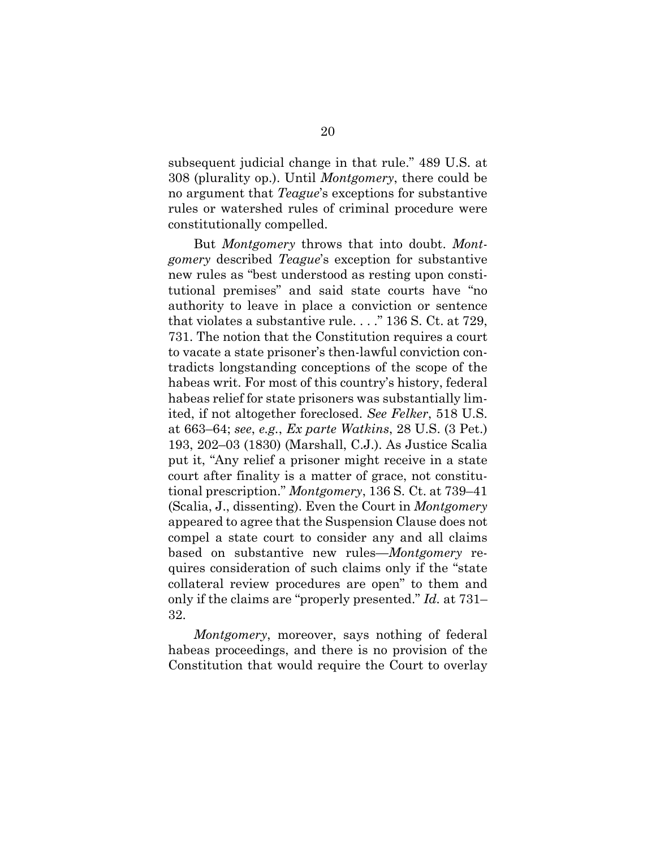subsequent judicial change in that rule." 489 U.S. at 308 (plurality op.). Until *Montgomery*, there could be no argument that *Teague*'s exceptions for substantive rules or watershed rules of criminal procedure were constitutionally compelled.

But *Montgomery* throws that into doubt. *Montgomery* described *Teague*'s exception for substantive new rules as "best understood as resting upon constitutional premises" and said state courts have "no authority to leave in place a conviction or sentence that violates a substantive rule. . . ." 136 S. Ct. at 729, 731. The notion that the Constitution requires a court to vacate a state prisoner's then-lawful conviction contradicts longstanding conceptions of the scope of the habeas writ. For most of this country's history, federal habeas relief for state prisoners was substantially limited, if not altogether foreclosed. *See Felker*, 518 U.S. at 663–64; *see*, *e.g.*, *Ex parte Watkins*, 28 U.S. (3 Pet.) 193, 202–03 (1830) (Marshall, C.J.). As Justice Scalia put it, "Any relief a prisoner might receive in a state court after finality is a matter of grace, not constitutional prescription." *Montgomery*, 136 S. Ct. at 739–41 (Scalia, J., dissenting). Even the Court in *Montgomery*  appeared to agree that the Suspension Clause does not compel a state court to consider any and all claims based on substantive new rules—*Montgomery* requires consideration of such claims only if the "state collateral review procedures are open" to them and only if the claims are "properly presented." *Id.* at 731– 32.

*Montgomery*, moreover, says nothing of federal habeas proceedings, and there is no provision of the Constitution that would require the Court to overlay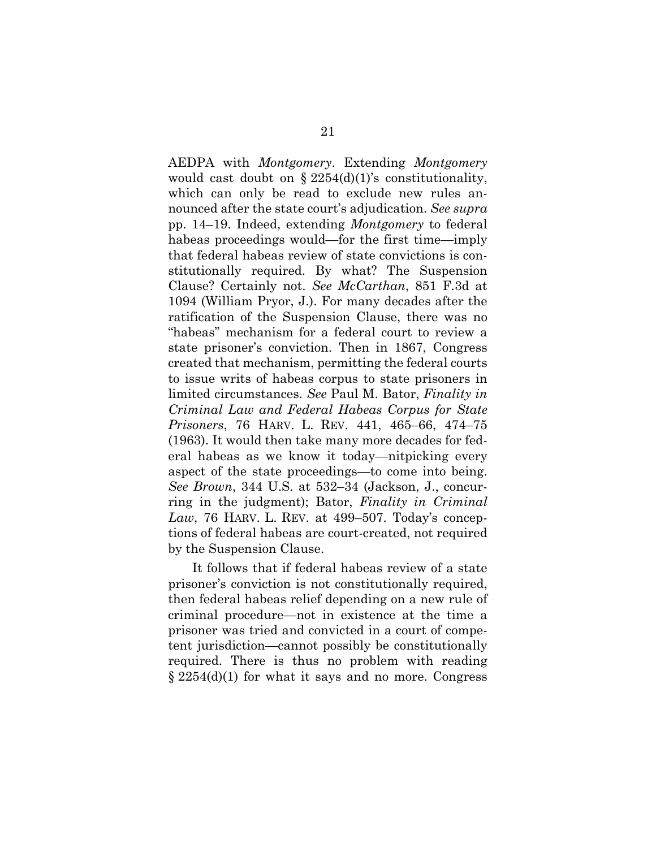AEDPA with *Montgomery*. Extending *Montgomery*  would cast doubt on  $\S 2254(d)(1)$ 's constitutionality, which can only be read to exclude new rules announced after the state court's adjudication. *See supra*  pp. 14–19. Indeed, extending *Montgomery* to federal habeas proceedings would—for the first time—imply that federal habeas review of state convictions is constitutionally required. By what? The Suspension Clause? Certainly not. *See McCarthan*, 851 F.3d at 1094 (William Pryor, J.). For many decades after the ratification of the Suspension Clause, there was no "habeas" mechanism for a federal court to review a state prisoner's conviction. Then in 1867, Congress created that mechanism, permitting the federal courts to issue writs of habeas corpus to state prisoners in limited circumstances. *See* Paul M. Bator, *Finality in Criminal Law and Federal Habeas Corpus for State Prisoners*, 76 HARV. L. REV. 441, 465–66, 474–75 (1963). It would then take many more decades for federal habeas as we know it today—nitpicking every aspect of the state proceedings—to come into being. *See Brown*, 344 U.S. at 532–34 (Jackson, J., concurring in the judgment); Bator, *Finality in Criminal Law*, 76 HARV. L. REV. at 499–507. Today's conceptions of federal habeas are court-created, not required by the Suspension Clause.

It follows that if federal habeas review of a state prisoner's conviction is not constitutionally required, then federal habeas relief depending on a new rule of criminal procedure—not in existence at the time a prisoner was tried and convicted in a court of competent jurisdiction—cannot possibly be constitutionally required. There is thus no problem with reading  $\S 2254(d)(1)$  for what it says and no more. Congress